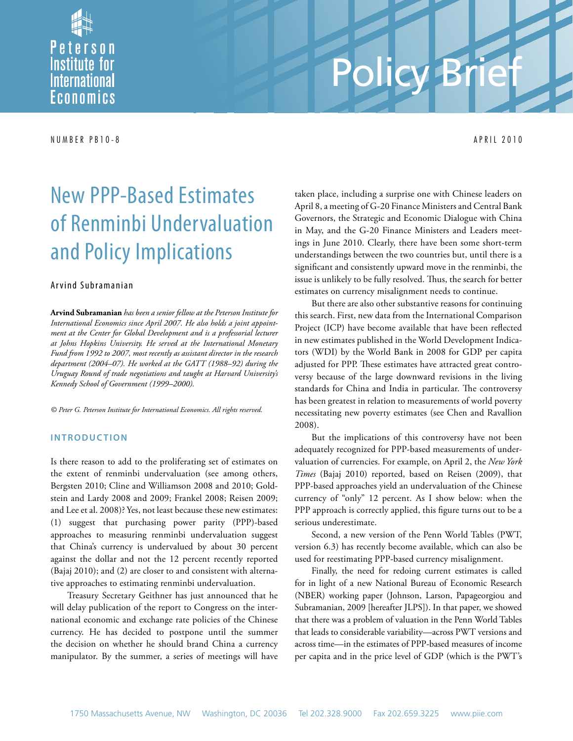

# Policy Brief

N U MBER P B 1 0 - 8 A p R i l 2 0 1 0

# New PPP-Based Estimates of Renminbi Undervaluation and Policy Implications

# Arvind Subramanian

**Arvind Subramanian** *has been a senior fellow at the Peterson Institute for International Economics since April 2007. He also holds a joint appointment at the Center for Global Development and is a professorial lecturer at Johns Hopkins University. He served at the International Monetary Fund from 1992 to 2007, most recently as assistant director in the research department (2004–07). He worked at the GATT (1988–92) during the Uruguay Round of trade negotiations and taught at Harvard University's Kennedy School of Government (1999–2000).*

*© Peter G. Peterson Institute for International Economics. All rights reserved.*

# **INTRODUCTION**

Is there reason to add to the proliferating set of estimates on the extent of renminbi undervaluation (see among others, Bergsten 2010; Cline and Williamson 2008 and 2010; Goldstein and Lardy 2008 and 2009; Frankel 2008; Reisen 2009; and Lee et al. 2008)? Yes, not least because these new estimates: (1) suggest that purchasing power parity (PPP)-based approaches to measuring renminbi undervaluation suggest that China's currency is undervalued by about 30 percent against the dollar and not the 12 percent recently reported (Bajaj 2010); and (2) are closer to and consistent with alternative approaches to estimating renminbi undervaluation.

Treasury Secretary Geithner has just announced that he will delay publication of the report to Congress on the international economic and exchange rate policies of the Chinese currency. He has decided to postpone until the summer the decision on whether he should brand China a currency manipulator. By the summer, a series of meetings will have taken place, including a surprise one with Chinese leaders on April 8, a meeting of G-20 Finance Ministers and Central Bank Governors, the Strategic and Economic Dialogue with China in May, and the G-20 Finance Ministers and Leaders meetings in June 2010. Clearly, there have been some short-term understandings between the two countries but, until there is a significant and consistently upward move in the renminbi, the issue is unlikely to be fully resolved. Thus, the search for better estimates on currency misalignment needs to continue.

But there are also other substantive reasons for continuing this search. First, new data from the International Comparison Project (ICP) have become available that have been reflected in new estimates published in the World Development Indicators (WDI) by the World Bank in 2008 for GDP per capita adjusted for PPP. These estimates have attracted great controversy because of the large downward revisions in the living standards for China and India in particular. The controversy has been greatest in relation to measurements of world poverty necessitating new poverty estimates (see Chen and Ravallion 2008).

But the implications of this controversy have not been adequately recognized for PPP-based measurements of undervaluation of currencies. For example, on April 2, the *New York Times* (Bajaj 2010) reported, based on Reisen (2009), that PPP-based approaches yield an undervaluation of the Chinese currency of "only" 12 percent. As I show below: when the PPP approach is correctly applied, this figure turns out to be a serious underestimate.

Second, a new version of the Penn World Tables (PWT, version 6.3) has recently become available, which can also be used for reestimating PPP-based currency misalignment.

Finally, the need for redoing current estimates is called for in light of a new National Bureau of Economic Research (NBER) working paper (Johnson, Larson, Papageorgiou and Subramanian, 2009 [hereafter JLPS]). In that paper, we showed that there was a problem of valuation in the Penn World Tables that leads to considerable variability—across PWT versions and across time—in the estimates of PPP-based measures of income per capita and in the price level of GDP (which is the PWT's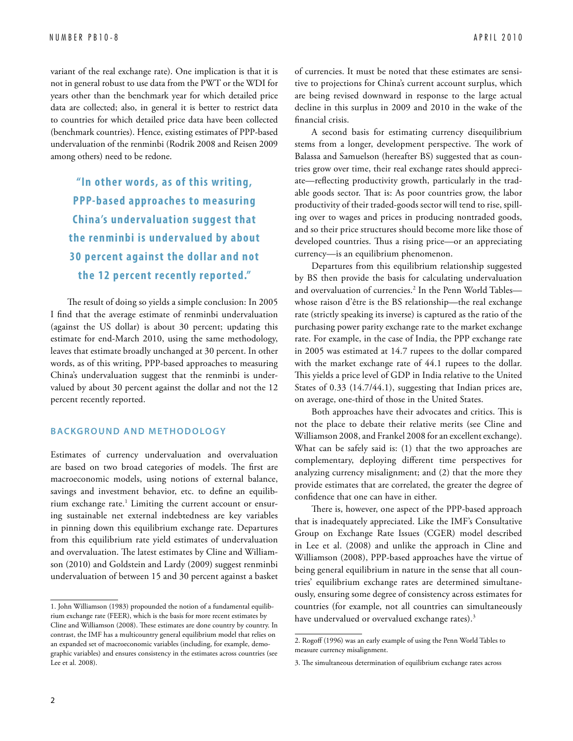variant of the real exchange rate). One implication is that it is not in general robust to use data from the PWT or the WDI for years other than the benchmark year for which detailed price data are collected; also, in general it is better to restrict data to countries for which detailed price data have been collected (benchmark countries). Hence, existing estimates of PPP-based undervaluation of the renminbi (Rodrik 2008 and Reisen 2009 among others) need to be redone.

**"In other words, as of this writing, PPP-based approaches to measuring C hina's under valuation suggest that the renminbi is under valued by about 30 percent against the dollar and not the 12 percent recently repor ted."**

The result of doing so yields a simple conclusion: In 2005 I find that the average estimate of renminbi undervaluation (against the US dollar) is about 30 percent; updating this estimate for end-March 2010, using the same methodology, leaves that estimate broadly unchanged at 30 percent. In other words, as of this writing, PPP-based approaches to measuring China's undervaluation suggest that the renminbi is undervalued by about 30 percent against the dollar and not the 12 percent recently reported.

# **BACKGROUND AND METHODOLOGY**

Estimates of currency undervaluation and overvaluation are based on two broad categories of models. The first are macroeconomic models, using notions of external balance, savings and investment behavior, etc. to define an equilibrium exchange rate.<sup>1</sup> Limiting the current account or ensuring sustainable net external indebtedness are key variables in pinning down this equilibrium exchange rate. Departures from this equilibrium rate yield estimates of undervaluation and overvaluation. The latest estimates by Cline and Williamson (2010) and Goldstein and Lardy (2009) suggest renminbi undervaluation of between 15 and 30 percent against a basket

of currencies. It must be noted that these estimates are sensitive to projections for China's current account surplus, which are being revised downward in response to the large actual decline in this surplus in 2009 and 2010 in the wake of the financial crisis.

A second basis for estimating currency disequilibrium stems from a longer, development perspective. The work of Balassa and Samuelson (hereafter BS) suggested that as countries grow over time, their real exchange rates should appreciate—reflecting productivity growth, particularly in the tradable goods sector. That is: As poor countries grow, the labor productivity of their traded-goods sector will tend to rise, spilling over to wages and prices in producing nontraded goods, and so their price structures should become more like those of developed countries. Thus a rising price—or an appreciating currency—is an equilibrium phenomenon.

Departures from this equilibrium relationship suggested by BS then provide the basis for calculating undervaluation and overvaluation of currencies.2 In the Penn World Tables whose raison d'être is the BS relationship—the real exchange rate (strictly speaking its inverse) is captured as the ratio of the purchasing power parity exchange rate to the market exchange rate. For example, in the case of India, the PPP exchange rate in 2005 was estimated at 14.7 rupees to the dollar compared with the market exchange rate of 44.1 rupees to the dollar. This yields a price level of GDP in India relative to the United States of 0.33 (14.7/44.1), suggesting that Indian prices are, on average, one-third of those in the United States.

Both approaches have their advocates and critics. This is not the place to debate their relative merits (see Cline and Williamson 2008, and Frankel 2008 for an excellent exchange). What can be safely said is: (1) that the two approaches are complementary, deploying different time perspectives for analyzing currency misalignment; and (2) that the more they provide estimates that are correlated, the greater the degree of confidence that one can have in either.

There is, however, one aspect of the PPP-based approach that is inadequately appreciated. Like the IMF's Consultative Group on Exchange Rate Issues (CGER) model described in Lee et al. (2008) and unlike the approach in Cline and Williamson (2008), PPP-based approaches have the virtue of being general equilibrium in nature in the sense that all countries' equilibrium exchange rates are determined simultaneously, ensuring some degree of consistency across estimates for countries (for example, not all countries can simultaneously have undervalued or overvalued exchange rates).<sup>3</sup>

<sup>1.</sup> John Williamson (1983) propounded the notion of a fundamental equilibrium exchange rate (FEER), which is the basis for more recent estimates by Cline and Williamson (2008). These estimates are done country by country. In contrast, the IMF has a multicountry general equilibrium model that relies on an expanded set of macroeconomic variables (including, for example, demographic variables) and ensures consistency in the estimates across countries (see Lee et al. 2008).

<sup>2.</sup> Rogoff (1996) was an early example of using the Penn World Tables to measure currency misalignment.

<sup>3.</sup> The simultaneous determination of equilibrium exchange rates across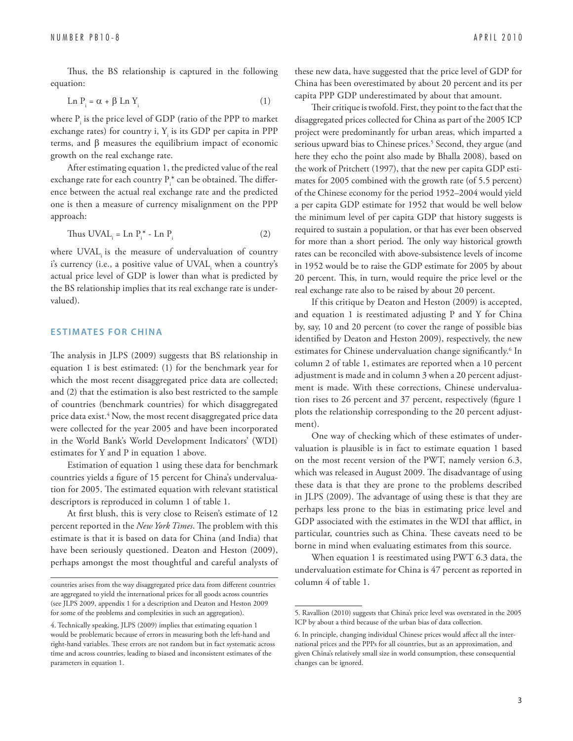Thus, the BS relationship is captured in the following equation:

Ln  $P_i = \alpha + \beta$  Ln  $Y_i$  (1)

where  $P_i$  is the price level of GDP (ratio of the PPP to market exchange rates) for country i,  $Y_i$  is its GDP per capita in PPP terms, and β measures the equilibrium impact of economic growth on the real exchange rate.

After estimating equation 1, the predicted value of the real exchange rate for each country  $\mathrm{P_{i}^{*}}$  can be obtained. The difference between the actual real exchange rate and the predicted one is then a measure of currency misalignment on the PPP approach:

Thus UVAL<sub>i</sub> = Ln 
$$
P_i^*
$$
 - Ln  $P_i$  (2)

where UVAL is the measure of undervaluation of country i's currency (i.e., a positive value of  $\text{UVAL}_{\text{i}}$  when a country's actual price level of GDP is lower than what is predicted by the BS relationship implies that its real exchange rate is undervalued).

# **ESTIMATES FOR CHINA**

The analysis in JLPS (2009) suggests that BS relationship in equation 1 is best estimated: (1) for the benchmark year for which the most recent disaggregated price data are collected; and (2) that the estimation is also best restricted to the sample of countries (benchmark countries) for which disaggregated price data exist. Now, the most recent disaggregated price data were collected for the year 2005 and have been incorporated in the World Bank's World Development Indicators' (WDI) estimates for Y and P in equation 1 above.

Estimation of equation 1 using these data for benchmark countries yields a figure of 15 percent for China's undervaluation for 2005. The estimated equation with relevant statistical descriptors is reproduced in column 1 of table 1.

At first blush, this is very close to Reisen's estimate of 12 percent reported in the *New York Times*. The problem with this estimate is that it is based on data for China (and India) that have been seriously questioned. Deaton and Heston (2009), perhaps amongst the most thoughtful and careful analysts of these new data, have suggested that the price level of GDP for China has been overestimated by about 20 percent and its per capita PPP GDP underestimated by about that amount.

Their critique is twofold. First, they point to the fact that the disaggregated prices collected for China as part of the 2005 ICP project were predominantly for urban areas, which imparted a serious upward bias to Chinese prices.<sup>5</sup> Second, they argue (and here they echo the point also made by Bhalla 2008), based on the work of Pritchett (1997), that the new per capita GDP estimates for 2005 combined with the growth rate (of 5.5 percent) of the Chinese economy for the period 1952–2004 would yield a per capita GDP estimate for 1952 that would be well below the minimum level of per capita GDP that history suggests is required to sustain a population, or that has ever been observed for more than a short period. The only way historical growth rates can be reconciled with above-subsistence levels of income in 1952 would be to raise the GDP estimate for 2005 by about 20 percent. This, in turn, would require the price level or the real exchange rate also to be raised by about 20 percent.

If this critique by Deaton and Heston (2009) is accepted, and equation 1 is reestimated adjusting P and Y for China by, say, 10 and 20 percent (to cover the range of possible bias identified by Deaton and Heston 2009), respectively, the new estimates for Chinese undervaluation change significantly.<sup>6</sup> In column 2 of table 1, estimates are reported when a 10 percent adjustment is made and in column 3 when a 20 percent adjustment is made. With these corrections, Chinese undervaluation rises to 26 percent and 37 percent, respectively (figure 1 plots the relationship corresponding to the 20 percent adjustment).

One way of checking which of these estimates of undervaluation is plausible is in fact to estimate equation 1 based on the most recent version of the PWT, namely version 6.3, which was released in August 2009. The disadvantage of using these data is that they are prone to the problems described in JLPS (2009). The advantage of using these is that they are perhaps less prone to the bias in estimating price level and GDP associated with the estimates in the WDI that afflict, in particular, countries such as China. These caveats need to be borne in mind when evaluating estimates from this source.

When equation 1 is reestimated using PWT 6.3 data, the undervaluation estimate for China is 47 percent as reported in column 4 of table 1.

countries arises from the way disaggregated price data from different countries are aggregated to yield the international prices for all goods across countries (see JLPS 2009, appendix 1 for a description and Deaton and Heston 2009 for some of the problems and complexities in such an aggregation).

<sup>.</sup> Technically speaking, JLPS (2009) implies that estimating equation 1 would be problematic because of errors in measuring both the left-hand and right-hand variables. These errors are not random but in fact systematic across time and across countries, leading to biased and inconsistent estimates of the parameters in equation 1.

<sup>.</sup> Ravallion (2010) suggests that China's price level was overstated in the 2005 ICP by about a third because of the urban bias of data collection.

<sup>.</sup> In principle, changing individual Chinese prices would affect all the international prices and the PPPs for all countries, but as an approximation, and given China's relatively small size in world consumption, these consequential changes can be ignored.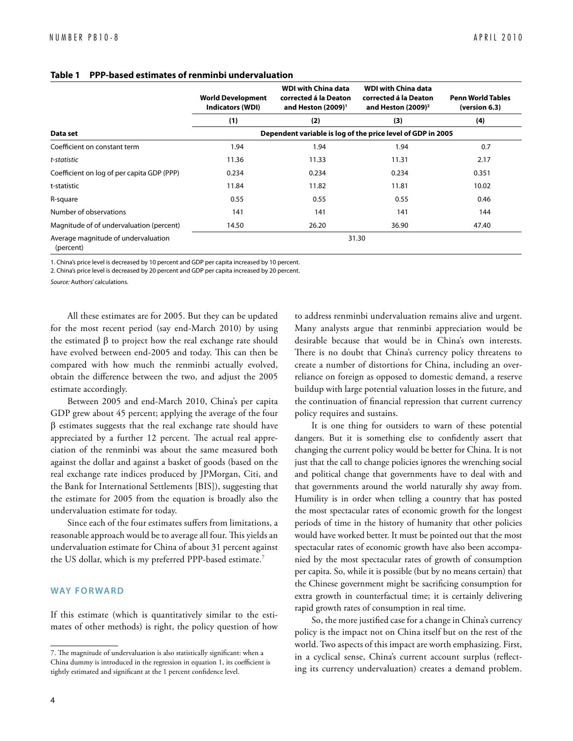| Data set                                         | <b>World Development</b><br><b>Indicators (WDI)</b>         | <b>WDI with China data</b><br>corrected á la Deaton<br>and Heston (2009) <sup>1</sup> | <b>WDI with China data</b><br>corrected á la Deaton<br>and Heston $(2009)^2$ | <b>Penn World Tables</b><br>(version 6.3) |
|--------------------------------------------------|-------------------------------------------------------------|---------------------------------------------------------------------------------------|------------------------------------------------------------------------------|-------------------------------------------|
|                                                  | (1)                                                         | (2)                                                                                   | (3)                                                                          | (4)                                       |
|                                                  | Dependent variable is log of the price level of GDP in 2005 |                                                                                       |                                                                              |                                           |
| Coefficient on constant term                     | 1.94                                                        | 1.94                                                                                  | 1.94                                                                         | 0.7                                       |
| t-statistic                                      | 11.36                                                       | 11.33                                                                                 | 11.31                                                                        | 2.17                                      |
| Coefficient on log of per capita GDP (PPP)       | 0.234                                                       | 0.234                                                                                 | 0.234                                                                        | 0.351                                     |
| t-statistic                                      | 11.84                                                       | 11.82                                                                                 | 11.81                                                                        | 10.02                                     |
| R-square                                         | 0.55                                                        | 0.55                                                                                  | 0.55                                                                         | 0.46                                      |
| Number of observations                           | 141                                                         | 141                                                                                   | 141                                                                          | 144                                       |
| Magnitude of of undervaluation (percent)         | 14.50                                                       | 26.20                                                                                 | 36.90                                                                        | 47.40                                     |
| Average magnitude of undervaluation<br>(percent) | 31.30                                                       |                                                                                       |                                                                              |                                           |

#### **Table 1 PPP-based estimates of renminbi undervaluation**

1. China's price level is decreased by 10 percent and GDP per capita increased by 10 percent.

2. China's price level is decreased by 20 percent and GDP per capita increased by 20 percent.

*Source:* Authors' calculations.

All these estimates are for 2005. But they can be updated for the most recent period (say end-March 2010) by using the estimated  $β$  to project how the real exchange rate should have evolved between end-2005 and today. This can then be compared with how much the renminbi actually evolved, obtain the difference between the two, and adjust the 2005 estimate accordingly.

Between 2005 and end-March 2010, China's per capita GDP grew about 45 percent; applying the average of the four β estimates suggests that the real exchange rate should have appreciated by a further 12 percent. The actual real appreciation of the renminbi was about the same measured both against the dollar and against a basket of goods (based on the real exchange rate indices produced by JPMorgan, Citi, and the Bank for International Settlements [BIS]), suggesting that the estimate for 2005 from the equation is broadly also the undervaluation estimate for today.

Since each of the four estimates suffers from limitations, a reasonable approach would be to average all four. This yields an undervaluation estimate for China of about 31 percent against the US dollar, which is my preferred PPP-based estimate.<sup>7</sup>

# **WAY FORWARD**

If this estimate (which is quantitatively similar to the estimates of other methods) is right, the policy question of how to address renminbi undervaluation remains alive and urgent. Many analysts argue that renminbi appreciation would be desirable because that would be in China's own interests. There is no doubt that China's currency policy threatens to create a number of distortions for China, including an overreliance on foreign as opposed to domestic demand, a reserve buildup with large potential valuation losses in the future, and the continuation of financial repression that current currency policy requires and sustains.

It is one thing for outsiders to warn of these potential dangers. But it is something else to confidently assert that changing the current policy would be better for China. It is not just that the call to change policies ignores the wrenching social and political change that governments have to deal with and that governments around the world naturally shy away from. Humility is in order when telling a country that has posted the most spectacular rates of economic growth for the longest periods of time in the history of humanity that other policies would have worked better. It must be pointed out that the most spectacular rates of economic growth have also been accompanied by the most spectacular rates of growth of consumption per capita. So, while it is possible (but by no means certain) that the Chinese government might be sacrificing consumption for extra growth in counterfactual time; it is certainly delivering rapid growth rates of consumption in real time.

So, the more justified case for a change in China's currency policy is the impact not on China itself but on the rest of the world. Two aspects of this impact are worth emphasizing. First, in a cyclical sense, China's current account surplus (reflecting its currency undervaluation) creates a demand problem.

<sup>7.</sup> The magnitude of undervaluation is also statistically significant: when a China dummy is introduced in the regression in equation 1, its coefficient is tightly estimated and significant at the 1 percent confidence level.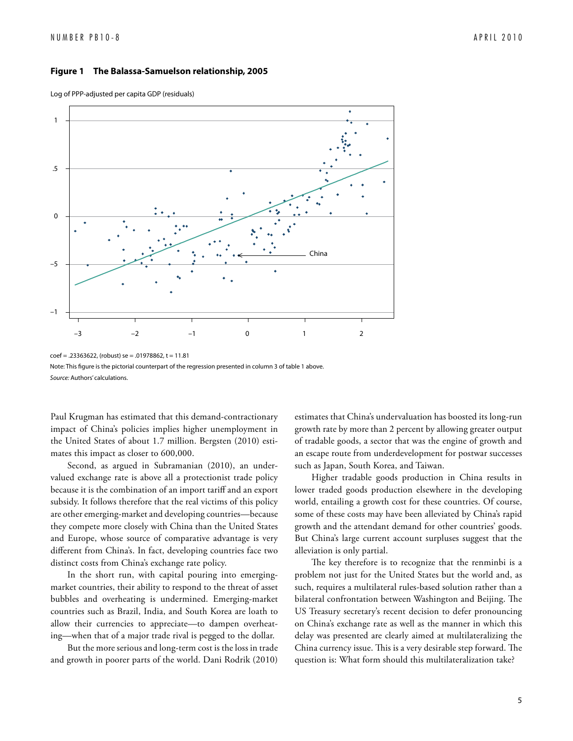#### **Figure 1 The Balassa-Samuelson relationship, 2005**

Log of PPP-adjusted per capita GDP (residuals)



coef = .23363622, (robust) se = .01978862, t = 11.81 Note: This figure is the pictorial counterpart of the regression presented in column 3 of table 1 above. *Source:* Authors' calculations.

Paul Krugman has estimated that this demand-contractionary impact of China's policies implies higher unemployment in the United States of about 1.7 million. Bergsten (2010) estimates this impact as closer to 600,000.

Second, as argued in Subramanian (2010), an undervalued exchange rate is above all a protectionist trade policy because it is the combination of an import tariff and an export subsidy. It follows therefore that the real victims of this policy are other emerging-market and developing countries—because they compete more closely with China than the United States and Europe, whose source of comparative advantage is very different from China's. In fact, developing countries face two distinct costs from China's exchange rate policy.

In the short run, with capital pouring into emergingmarket countries, their ability to respond to the threat of asset bubbles and overheating is undermined. Emerging-market countries such as Brazil, India, and South Korea are loath to allow their currencies to appreciate—to dampen overheating—when that of a major trade rival is pegged to the dollar.

But the more serious and long-term cost is the loss in trade and growth in poorer parts of the world. Dani Rodrik (2010) estimates that China's undervaluation has boosted its long-run growth rate by more than 2 percent by allowing greater output of tradable goods, a sector that was the engine of growth and an escape route from underdevelopment for postwar successes such as Japan, South Korea, and Taiwan.

Higher tradable goods production in China results in lower traded goods production elsewhere in the developing world, entailing a growth cost for these countries. Of course, some of these costs may have been alleviated by China's rapid growth and the attendant demand for other countries' goods. But China's large current account surpluses suggest that the alleviation is only partial.

The key therefore is to recognize that the renminbi is a problem not just for the United States but the world and, as such, requires a multilateral rules-based solution rather than a bilateral confrontation between Washington and Beijing. The US Treasury secretary's recent decision to defer pronouncing on China's exchange rate as well as the manner in which this delay was presented are clearly aimed at multilateralizing the China currency issue. This is a very desirable step forward. The question is: What form should this multilateralization take?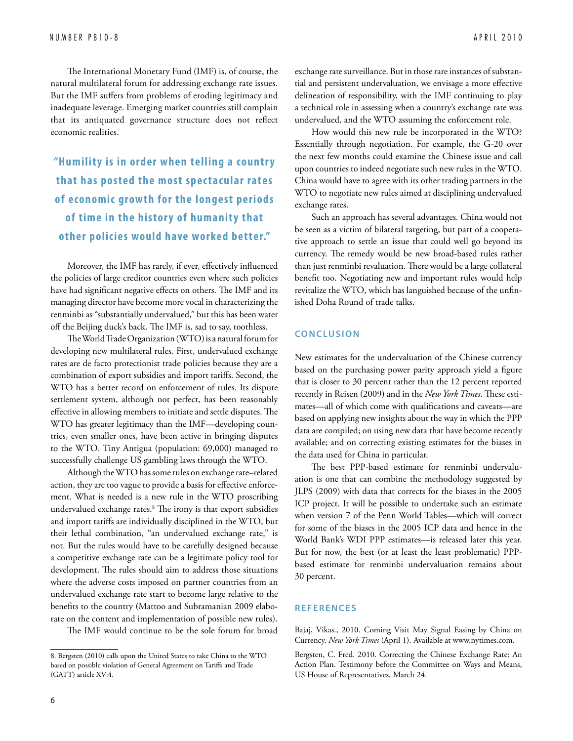The International Monetary Fund (IMF) is, of course, the natural multilateral forum for addressing exchange rate issues. But the IMF suffers from problems of eroding legitimacy and inadequate leverage. Emerging market countries still complain that its antiquated governance structure does not reflect economic realities.

**"Humility is in order when telling a country that has posted the most spectacular rates of economic growth for the longest periods of time in the history of humanity that other policies would have worked better."**

Moreover, the IMF has rarely, if ever, effectively influenced the policies of large creditor countries even where such policies have had significant negative effects on others. The IMF and its managing director have become more vocal in characterizing the renminbi as "substantially undervalued," but this has been water off the Beijing duck's back. The IMF is, sad to say, toothless.

The World Trade Organization (WTO) is a natural forum for developing new multilateral rules. First, undervalued exchange rates are de facto protectionist trade policies because they are a combination of export subsidies and import tariffs. Second, the WTO has a better record on enforcement of rules. Its dispute settlement system, although not perfect, has been reasonably effective in allowing members to initiate and settle disputes. The WTO has greater legitimacy than the IMF—developing countries, even smaller ones, have been active in bringing disputes to the WTO. Tiny Antigua (population: 69,000) managed to successfully challenge US gambling laws through the WTO.

Although the WTO has some rules on exchange rate–related action, they are too vague to provide a basis for effective enforcement. What is needed is a new rule in the WTO proscribing undervalued exchange rates.8 The irony is that export subsidies and import tariffs are individually disciplined in the WTO, but their lethal combination, "an undervalued exchange rate," is not. But the rules would have to be carefully designed because a competitive exchange rate can be a legitimate policy tool for development. The rules should aim to address those situations where the adverse costs imposed on partner countries from an undervalued exchange rate start to become large relative to the benefits to the country (Mattoo and Subramanian 2009 elaborate on the content and implementation of possible new rules).

The IMF would continue to be the sole forum for broad

exchange rate surveillance. But in those rare instances of substantial and persistent undervaluation, we envisage a more effective delineation of responsibility, with the IMF continuing to play a technical role in assessing when a country's exchange rate was undervalued, and the WTO assuming the enforcement role.

How would this new rule be incorporated in the WTO? Essentially through negotiation. For example, the G-20 over the next few months could examine the Chinese issue and call upon countries to indeed negotiate such new rules in the WTO. China would have to agree with its other trading partners in the WTO to negotiate new rules aimed at disciplining undervalued exchange rates.

Such an approach has several advantages. China would not be seen as a victim of bilateral targeting, but part of a cooperative approach to settle an issue that could well go beyond its currency. The remedy would be new broad-based rules rather than just renminbi revaluation. There would be a large collateral benefit too. Negotiating new and important rules would help revitalize the WTO, which has languished because of the unfinished Doha Round of trade talks.

# **CONCLUSION**

New estimates for the undervaluation of the Chinese currency based on the purchasing power parity approach yield a figure that is closer to 30 percent rather than the 12 percent reported recently in Reisen (2009) and in the *New York Times*. These estimates—all of which come with qualifications and caveats—are based on applying new insights about the way in which the PPP data are compiled; on using new data that have become recently available; and on correcting existing estimates for the biases in the data used for China in particular.

The best PPP-based estimate for renminbi undervaluation is one that can combine the methodology suggested by JLPS (2009) with data that corrects for the biases in the 2005 ICP project. It will be possible to undertake such an estimate when version 7 of the Penn World Tables—which will correct for some of the biases in the 2005 ICP data and hence in the World Bank's WDI PPP estimates—is released later this year. But for now, the best (or at least the least problematic) PPPbased estimate for renminbi undervaluation remains about 30 percent.

# **Ref e r e n c e s**

Bajaj, Vikas., 2010. Coming Visit May Signal Easing by China on Currency. *New York Times* (April 1). Available at www.nytimes.com.

Bergsten, C. Fred. 2010. Correcting the Chinese Exchange Rate: An Action Plan. Testimony before the Committee on Ways and Means, US House of Representatives, March 24.

<sup>8.</sup> Bergsten (2010) calls upon the United States to take China to the WTO based on possible violation of General Agreement on Tariffs and Trade (GATT) article XV:4.